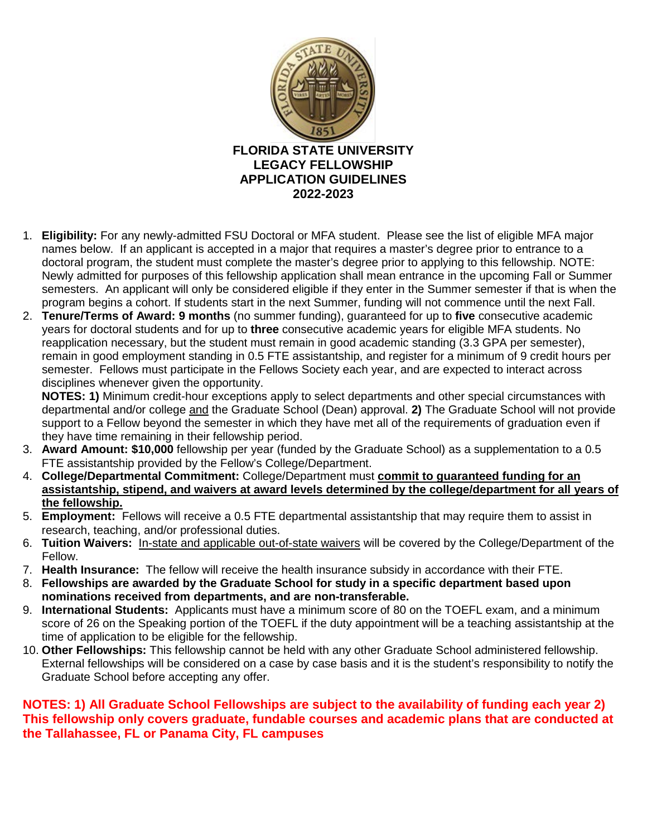

- 1. **Eligibility:** For any newly-admitted FSU Doctoral or MFA student. Please see the list of eligible MFA major names below. If an applicant is accepted in a major that requires a master's degree prior to entrance to a doctoral program, the student must complete the master's degree prior to applying to this fellowship. NOTE: Newly admitted for purposes of this fellowship application shall mean entrance in the upcoming Fall or Summer semesters. An applicant will only be considered eligible if they enter in the Summer semester if that is when the program begins a cohort. If students start in the next Summer, funding will not commence until the next Fall.
- 2. **Tenure/Terms of Award: 9 months** (no summer funding), guaranteed for up to **five** consecutive academic years for doctoral students and for up to **three** consecutive academic years for eligible MFA students. No reapplication necessary, but the student must remain in good academic standing (3.3 GPA per semester), remain in good employment standing in 0.5 FTE assistantship, and register for a minimum of 9 credit hours per semester. Fellows must participate in the Fellows Society each year, and are expected to interact across disciplines whenever given the opportunity.

**NOTES: 1)** Minimum credit-hour exceptions apply to select departments and other special circumstances with departmental and/or college and the Graduate School (Dean) approval. **2)** The Graduate School will not provide support to a Fellow beyond the semester in which they have met all of the requirements of graduation even if they have time remaining in their fellowship period.

- 3. **Award Amount: \$10,000** fellowship per year (funded by the Graduate School) as a supplementation to a 0.5 FTE assistantship provided by the Fellow's College/Department.
- 4. **College/Departmental Commitment:** College/Department must **commit to guaranteed funding for an assistantship, stipend, and waivers at award levels determined by the college/department for all years of the fellowship.**
- 5. **Employment:** Fellows will receive a 0.5 FTE departmental assistantship that may require them to assist in research, teaching, and/or professional duties.
- 6. **Tuition Waivers:** In-state and applicable out-of-state waivers will be covered by the College/Department of the Fellow.
- 7. **Health Insurance:** The fellow will receive the health insurance subsidy in accordance with their FTE.
- 8. **Fellowships are awarded by the Graduate School for study in a specific department based upon nominations received from departments, and are non-transferable.**
- 9. **International Students:** Applicants must have a minimum score of 80 on the TOEFL exam, and a minimum score of 26 on the Speaking portion of the TOEFL if the duty appointment will be a teaching assistantship at the time of application to be eligible for the fellowship.
- 10. **Other Fellowships:** This fellowship cannot be held with any other Graduate School administered fellowship. External fellowships will be considered on a case by case basis and it is the student's responsibility to notify the Graduate School before accepting any offer.

## **NOTES: 1) All Graduate School Fellowships are subject to the availability of funding each year 2) This fellowship only covers graduate, fundable courses and academic plans that are conducted at the Tallahassee, FL or Panama City, FL campuses**